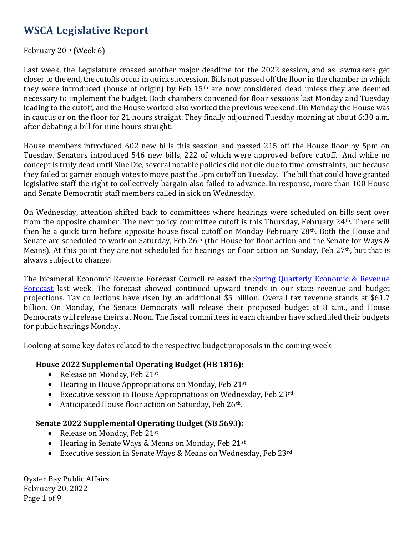# **WSCA Legislative Report**

#### February 20th (Week 6)

Last week, the Legislature crossed another major deadline for the 2022 session, and as lawmakers get closer to the end, the cutoffs occur in quick succession. Bills not passed off the floor in the chamber in which they were introduced (house of origin) by Feb 15th are now considered dead unless they are deemed necessary to implement the budget. Both chambers convened for floor sessions last Monday and Tuesday leading to the cutoff, and the House worked also worked the previous weekend. On Monday the House was in caucus or on the floor for 21 hours straight. They finally adjourned Tuesday morning at about 6:30 a.m. after debating a bill for nine hours straight.

House members introduced 602 new bills this session and passed 215 off the House floor by 5pm on Tuesday. Senators introduced 546 new bills, 222 of which were approved before cutoff. And while no concept is truly dead until Sine Die, several notable policies did not die due to time constraints, but because they failed to garner enough votes to move past the 5pm cutoff on Tuesday. The bill that could have granted legislative staff the right to collectively bargain also failed to advance. In response, more than 100 House and Senate Democratic staff members called in sick on Wednesday.

On Wednesday, attention shifted back to committees where hearings were scheduled on bills sent over from the opposite chamber. The next policy committee cutoff is this Thursday, February 24th. There will then be a quick turn before opposite house fiscal cutoff on Monday February 28th. Both the House and Senate are scheduled to work on Saturday, Feb 26<sup>th</sup> (the House for floor action and the Senate for Ways & Means). At this point they are not scheduled for hearings or floor action on Sunday, Feb 27<sup>th</sup>, but that is always subject to change.

The bicameral Economic Revenue Forecast Council released the Spring Quarterly Economic & Revenue [Forecast](https://erfc.wa.gov/sites/default/files/public/documents/meetings/rev20220216.pdf) last week. The forecast showed continued upward trends in our state revenue and budget projections. Tax collections have risen by an additional \$5 billion. Overall tax revenue stands at \$61.7 billion. On Monday, the Senate Democrats will release their proposed budget at 8 a.m., and House Democrats will release theirs at Noon. The fiscal committees in each chamber have scheduled their budgets for public hearings Monday.

Looking at some key dates related to the respective budget proposals in the coming week:

#### **House 2022 Supplemental Operating Budget (HB 1816):**

- Release on Monday, Feb 21st
- Hearing in House Appropriations on Monday, Feb 21st
- Executive session in House Appropriations on Wednesday, Feb  $23^{\text{rd}}$
- Anticipated House floor action on Saturday, Feb 26<sup>th</sup>.

#### **Senate 2022 Supplemental Operating Budget (SB 5693):**

- Release on Monday, Feb  $21^{st}$
- Hearing in Senate Ways & Means on Monday, Feb 21st
- Executive session in Senate Ways & Means on Wednesday, Feb 23rd

Oyster Bay Public Affairs February 20, 2022 Page 1 of 9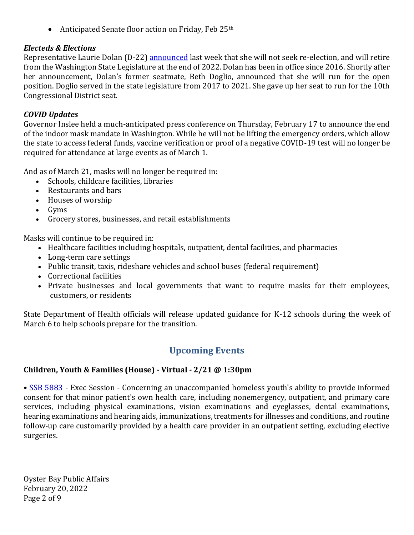• Anticipated Senate floor action on Friday, Feb  $25<sup>th</sup>$ 

#### *Electeds & Elections*

Representative Laurie Dolan (D-22) **announced** last week that she will not seek re-election, and will retire from the Washington State Legislature at the end of 2022. Dolan has been in office since 2016. Shortly after her announcement, Dolan's former seatmate, Beth Doglio, announced that she will run for the open position. Doglio served in the state legislature from 2017 to 2021. She gave up her seat to run for the 10th Congressional District seat.

#### *COVID Updates*

Governor Inslee held a much-anticipated press conference on Thursday, February 17 to announce the end of the indoor mask mandate in Washington. While he will not be lifting the emergency orders, which allow the state to access federal funds, vaccine verification or proof of a negative COVID-19 test will no longer be required for attendance at large events as of March 1.

And as of March 21, masks will no longer be required in:

- Schools, childcare facilities, libraries
- Restaurants and bars
- Houses of worship
- Gyms
- Grocery stores, businesses, and retail establishments

Masks will continue to be required in:

- Healthcare facilities including hospitals, outpatient, dental facilities, and pharmacies
- Long-term care settings
- Public transit, taxis, rideshare vehicles and school buses (federal requirement)
- Correctional facilities
- Private businesses and local governments that want to require masks for their employees, customers, or residents

State Department of Health officials will release updated guidance for K-12 schools during the week of March 6 to help schools prepare for the transition.

# **Upcoming Events**

### **Children, Youth & Families (House) - Virtual - 2/21 @ 1:30pm**

• [SSB 5883](https://app.leg.wa.gov/billsummary?Year=2021&BillNumber=5883) - Exec Session - Concerning an unaccompanied homeless youth's ability to provide informed consent for that minor patient's own health care, including nonemergency, outpatient, and primary care services, including physical examinations, vision examinations and eyeglasses, dental examinations, hearing examinations and hearing aids, immunizations, treatments for illnesses and conditions, and routine follow-up care customarily provided by a health care provider in an outpatient setting, excluding elective surgeries.

Oyster Bay Public Affairs February 20, 2022 Page 2 of 9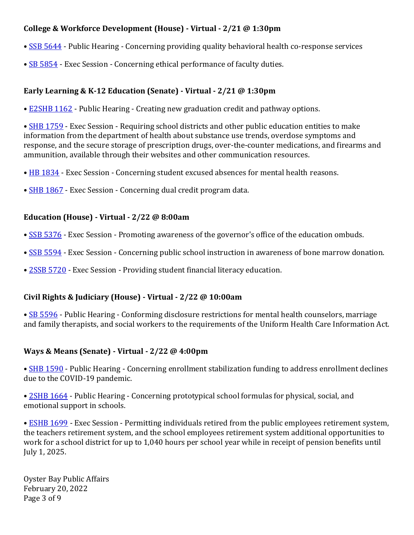### **College & Workforce Development (House) - Virtual - 2/21 @ 1:30pm**

- [SSB 5644](https://app.leg.wa.gov/billsummary?Year=2021&BillNumber=5644) Public Hearing Concerning providing quality behavioral health co-response services
- [SB 5854](https://app.leg.wa.gov/billsummary?Year=2021&BillNumber=5854) Exec Session Concerning ethical performance of faculty duties.

## **Early Learning & K-12 Education (Senate) - Virtual - 2/21 @ 1:30pm**

• [E2SHB 1162](https://app.leg.wa.gov/billsummary?Year=2021&BillNumber=1162) - Public Hearing - Creating new graduation credit and pathway options.

• **[SHB 1759](https://app.leg.wa.gov/billsummary?Year=2021&BillNumber=1759)** - Exec Session - Requiring school districts and other public education entities to make information from the department of health about substance use trends, overdose symptoms and response, and the secure storage of prescription drugs, over-the-counter medications, and firearms and ammunition, available through their websites and other communication resources.

- [HB 1834](https://app.leg.wa.gov/billsummary?Year=2021&BillNumber=1834) Exec Session Concerning student excused absences for mental health reasons.
- [SHB 1867](https://app.leg.wa.gov/billsummary?Year=2021&BillNumber=1867) Exec Session Concerning dual credit program data.

### **Education (House) - Virtual - 2/22 @ 8:00am**

- [SSB 5376](https://app.leg.wa.gov/billsummary?Year=2021&BillNumber=5376) Exec Session Promoting awareness of the governor's office of the education ombuds.
- [SSB 5594](https://app.leg.wa.gov/billsummary?Year=2021&BillNumber=5594) Exec Session Concerning public school instruction in awareness of bone marrow donation.
- [2SSB 5720](https://app.leg.wa.gov/billsummary?Year=2021&BillNumber=5720) Exec Session Providing student financial literacy education.

### **Civil Rights & Judiciary (House) - Virtual - 2/22 @ 10:00am**

• [SB 5596](https://app.leg.wa.gov/billsummary?Year=2021&BillNumber=5596) - Public Hearing - Conforming disclosure restrictions for mental health counselors, marriage and family therapists, and social workers to the requirements of the Uniform Health Care Information Act.

### **Ways & Means (Senate) - Virtual - 2/22 @ 4:00pm**

• [SHB 1590](https://app.leg.wa.gov/billsummary?Year=2021&BillNumber=1590) - Public Hearing - Concerning enrollment stabilization funding to address enrollment declines due to the COVID-19 pandemic.

• [2SHB 1664](https://app.leg.wa.gov/billsummary?Year=2021&BillNumber=1664) - Public Hearing - Concerning prototypical school formulas for physical, social, and emotional support in schools.

• **[ESHB 1699](https://app.leg.wa.gov/billsummary?Year=2021&BillNumber=1699)** - Exec Session - Permitting individuals retired from the public employees retirement system, the teachers retirement system, and the school employees retirement system additional opportunities to work for a school district for up to 1,040 hours per school year while in receipt of pension benefits until July 1, 2025.

Oyster Bay Public Affairs February 20, 2022 Page 3 of 9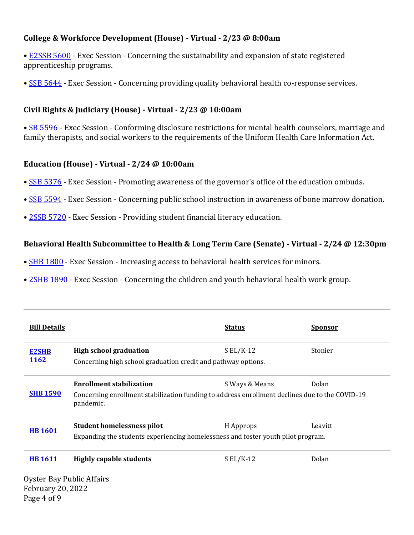#### **College & Workforce Development (House) - Virtual - 2/23 @ 8:00am**

- [E2SSB 5600](https://app.leg.wa.gov/billsummary?Year=2021&BillNumber=5600) Exec Session Concerning the sustainability and expansion of state registered apprenticeship programs.
- [SSB 5644](https://app.leg.wa.gov/billsummary?Year=2021&BillNumber=5644) Exec Session Concerning providing quality behavioral health co-response services.

### **Civil Rights & Judiciary (House) - Virtual - 2/23 @ 10:00am**

• [SB 5596](https://app.leg.wa.gov/billsummary?Year=2021&BillNumber=5596) - Exec Session - Conforming disclosure restrictions for mental health counselors, marriage and family therapists, and social workers to the requirements of the Uniform Health Care Information Act.

### **Education (House) - Virtual - 2/24 @ 10:00am**

- [SSB 5376](https://app.leg.wa.gov/billsummary?Year=2021&BillNumber=5376) Exec Session Promoting awareness of the governor's office of the education ombuds.
- [SSB 5594](https://app.leg.wa.gov/billsummary?Year=2021&BillNumber=5594) Exec Session Concerning public school instruction in awareness of bone marrow donation.
- [2SSB 5720](https://app.leg.wa.gov/billsummary?Year=2021&BillNumber=5720) Exec Session Providing student financial literacy education.

### **Behavioral Health Subcommittee to Health & Long Term Care (Senate) - Virtual - 2/24 @ 12:30pm**

- [SHB 1800](https://app.leg.wa.gov/billsummary?Year=2021&BillNumber=1800) Exec Session Increasing access to behavioral health services for minors.
- [2SHB 1890](https://app.leg.wa.gov/billsummary?Year=2021&BillNumber=1890) Exec Session Concerning the children and youth behavioral health work group.

| <b>Bill Details</b>       |                                                                                                             | <b>Status</b>  | <b>Sponsor</b> |  |
|---------------------------|-------------------------------------------------------------------------------------------------------------|----------------|----------------|--|
| <b>E2SHB</b>              | <b>High school graduation</b>                                                                               | $SL/K-12$      | Stonier        |  |
| <b>1162</b>               | Concerning high school graduation credit and pathway options.                                               |                |                |  |
| <b>SHB 1590</b>           | <b>Enrollment stabilization</b>                                                                             | S Ways & Means | Dolan          |  |
|                           | Concerning enrollment stabilization funding to address enrollment declines due to the COVID-19<br>pandemic. |                |                |  |
| <b>HB1601</b>             | <b>Student homelessness pilot</b>                                                                           | H Approps      | Leavitt        |  |
|                           | Expanding the students experiencing homelessness and foster youth pilot program.                            |                |                |  |
| <b>HB1611</b>             | <b>Highly capable students</b>                                                                              | $SL/K-12$      | Dolan          |  |
| Oyster Bay Public Affairs |                                                                                                             |                |                |  |
| <b>February 20, 2022</b>  |                                                                                                             |                |                |  |
| Page 4 of 9               |                                                                                                             |                |                |  |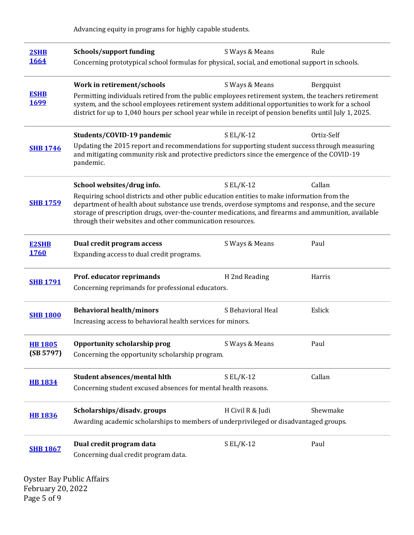Advancing equity in programs for highly capable students.

| 2SHB<br>1664               | <b>Schools/support funding</b><br>Concerning prototypical school formulas for physical, social, and emotional support in schools.                                                                                                                                                                                                                                  | S Ways & Means    | Rule       |  |
|----------------------------|--------------------------------------------------------------------------------------------------------------------------------------------------------------------------------------------------------------------------------------------------------------------------------------------------------------------------------------------------------------------|-------------------|------------|--|
| <b>ESHB</b><br><u>1699</u> | Work in retirement/schools<br>Permitting individuals retired from the public employees retirement system, the teachers retirement<br>system, and the school employees retirement system additional opportunities to work for a school                                                                                                                              | S Ways & Means    | Bergquist  |  |
|                            | district for up to 1,040 hours per school year while in receipt of pension benefits until July 1, 2025.<br>Students/COVID-19 pandemic                                                                                                                                                                                                                              | $S EL/K-12$       | Ortiz-Self |  |
| <b>SHB 1746</b>            | Updating the 2015 report and recommendations for supporting student success through measuring<br>and mitigating community risk and protective predictors since the emergence of the COVID-19<br>pandemic.                                                                                                                                                          |                   |            |  |
|                            | School websites/drug info.                                                                                                                                                                                                                                                                                                                                         | $S EL/K-12$       | Callan     |  |
| <b>SHB 1759</b>            | Requiring school districts and other public education entities to make information from the<br>department of health about substance use trends, overdose symptoms and response, and the secure<br>storage of prescription drugs, over-the-counter medications, and firearms and ammunition, available<br>through their websites and other communication resources. |                   |            |  |
| <b>E2SHB</b>               | Dual credit program access                                                                                                                                                                                                                                                                                                                                         | S Ways & Means    | Paul       |  |
| <b>1760</b>                | Expanding access to dual credit programs.                                                                                                                                                                                                                                                                                                                          |                   |            |  |
|                            | Prof. educator reprimands                                                                                                                                                                                                                                                                                                                                          | H 2nd Reading     | Harris     |  |
| <b>SHB 1791</b>            | Concerning reprimands for professional educators.                                                                                                                                                                                                                                                                                                                  |                   |            |  |
|                            | <b>Behavioral health/minors</b>                                                                                                                                                                                                                                                                                                                                    | S Behavioral Heal | Eslick     |  |
| <b>SHB 1800</b>            | Increasing access to behavioral health services for minors.                                                                                                                                                                                                                                                                                                        |                   |            |  |
| <b>HB1805</b><br>(SB 5797) | Opportunity scholarship prog<br>Concerning the opportunity scholarship program.                                                                                                                                                                                                                                                                                    | S Ways & Means    | Paul       |  |
|                            | Student absences/mental hlth                                                                                                                                                                                                                                                                                                                                       | $SL/K-12$         | Callan     |  |
| <b>HB1834</b>              | Concerning student excused absences for mental health reasons.                                                                                                                                                                                                                                                                                                     |                   |            |  |
|                            | Scholarships/disadv.groups                                                                                                                                                                                                                                                                                                                                         | H Civil R & Judi  | Shewmake   |  |
| <b>HB1836</b>              | Awarding academic scholarships to members of underprivileged or disadvantaged groups.                                                                                                                                                                                                                                                                              |                   |            |  |
| <b>SHB 1867</b>            | Dual credit program data                                                                                                                                                                                                                                                                                                                                           | $SL/K-12$         | Paul       |  |
|                            | Concerning dual credit program data.                                                                                                                                                                                                                                                                                                                               |                   |            |  |

Oyster Bay Public Affairs February 20, 2022 Page 5 of 9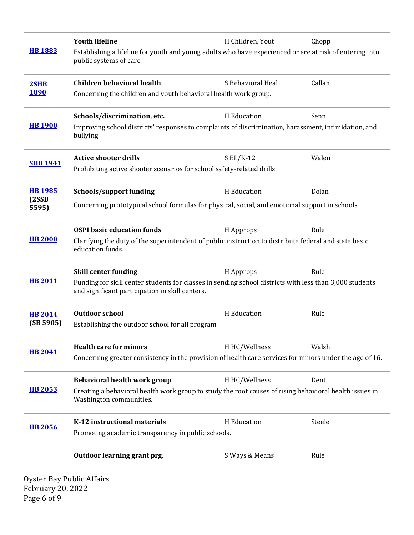|                 | <b>Youth lifeline</b>                                                                                                                                      | H Children, Yout  | Chopp  |  |
|-----------------|------------------------------------------------------------------------------------------------------------------------------------------------------------|-------------------|--------|--|
| <b>HB1883</b>   | Establishing a lifeline for youth and young adults who have experienced or are at risk of entering into<br>public systems of care.                         |                   |        |  |
| 2SHB            | <b>Children behavioral health</b>                                                                                                                          | S Behavioral Heal | Callan |  |
| <b>1890</b>     | Concerning the children and youth behavioral health work group.                                                                                            |                   |        |  |
|                 | Schools/discrimination, etc.                                                                                                                               | H Education       | Senn   |  |
| <b>HB 1900</b>  | Improving school districts' responses to complaints of discrimination, harassment, intimidation, and<br>bullying.                                          |                   |        |  |
|                 | <b>Active shooter drills</b>                                                                                                                               | $SL/K-12$         | Walen  |  |
| <b>SHB 1941</b> | Prohibiting active shooter scenarios for school safety-related drills.                                                                                     |                   |        |  |
| <b>HB 1985</b>  | Schools/support funding                                                                                                                                    | H Education       | Dolan  |  |
| (2SSB)<br>5595) | Concerning prototypical school formulas for physical, social, and emotional support in schools.                                                            |                   |        |  |
|                 | <b>OSPI</b> basic education funds                                                                                                                          | H Approps         | Rule   |  |
| <b>HB 2000</b>  | Clarifying the duty of the superintendent of public instruction to distribute federal and state basic<br>education funds.                                  |                   |        |  |
|                 | <b>Skill center funding</b>                                                                                                                                | H Approps         | Rule   |  |
| <b>HB 2011</b>  | Funding for skill center students for classes in sending school districts with less than 3,000 students<br>and significant participation in skill centers. |                   |        |  |
| <b>HB 2014</b>  | <b>Outdoor school</b>                                                                                                                                      | H Education       | Rule   |  |
| (SB 5905)       | Establishing the outdoor school for all program.                                                                                                           |                   |        |  |
| <b>HB 2041</b>  | <b>Health care for minors</b>                                                                                                                              | H HC/Wellness     | Walsh  |  |
|                 | Concerning greater consistency in the provision of health care services for minors under the age of 16.                                                    |                   |        |  |
|                 | Behavioral health work group                                                                                                                               | H HC/Wellness     | Dent   |  |
| <b>HB 2053</b>  | Creating a behavioral health work group to study the root causes of rising behavioral health issues in<br>Washington communities.                          |                   |        |  |
|                 | K-12 instructional materials                                                                                                                               | H Education       | Steele |  |
| <b>HB 2056</b>  | Promoting academic transparency in public schools.                                                                                                         |                   |        |  |
|                 | Outdoor learning grant prg.                                                                                                                                | S Ways & Means    | Rule   |  |

Oyster Bay Public Affairs February 20, 2022 Page 6 of 9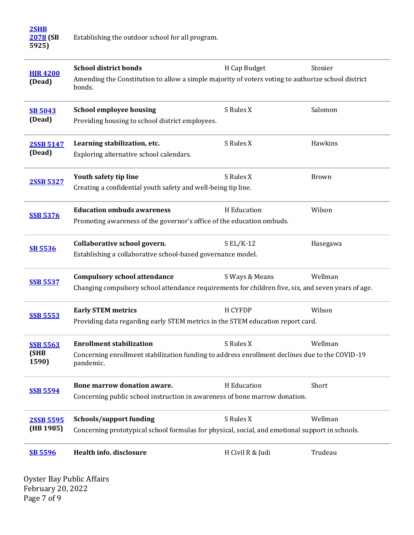| 2SHB     |                                                  |
|----------|--------------------------------------------------|
| 2078 (SB | Establishing the outdoor school for all program. |
| 5925)    |                                                  |

| <b>HIR4200</b><br>(Dead)         | <b>School district bonds</b><br>Amending the Constitution to allow a simple majority of voters voting to authorize school district<br>bonds.   | H Cap Budget     | Stonier      |
|----------------------------------|------------------------------------------------------------------------------------------------------------------------------------------------|------------------|--------------|
| <b>SB 5043</b><br>(Dead)         | <b>School employee housing</b><br>Providing housing to school district employees.                                                              | S Rules X        | Salomon      |
| <b>2SSB 5147</b><br>(Dead)       | Learning stabilization, etc.<br>Exploring alternative school calendars.                                                                        | S Rules X        | Hawkins      |
| <b>2SSB 5327</b>                 | Youth safety tip line<br>Creating a confidential youth safety and well-being tip line.                                                         | S Rules X        | <b>Brown</b> |
| <b>SSB 5376</b>                  | <b>Education ombuds awareness</b><br>Promoting awareness of the governor's office of the education ombuds.                                     | H Education      | Wilson       |
| <b>SB 5536</b>                   | Collaborative school govern.<br>Establishing a collaborative school-based governance model.                                                    | $S EL/K-12$      | Hasegawa     |
| <b>SSB 5537</b>                  | <b>Compulsory school attendance</b><br>Changing compulsory school attendance requirements for children five, six, and seven years of age.      | S Ways & Means   | Wellman      |
| <b>SSB 5553</b>                  | <b>Early STEM metrics</b><br>Providing data regarding early STEM metrics in the STEM education report card.                                    | <b>H CYFDP</b>   | Wilson       |
| <b>SSB 5563</b><br>(SHB<br>1590) | <b>Enrollment stabilization</b><br>Concerning enrollment stabilization funding to address enrollment declines due to the COVID-19<br>pandemic. | S Rules X        | Wellman      |
| <b>SSB 5594</b>                  | Bone marrow donation aware.<br>Concerning public school instruction in awareness of bone marrow donation.                                      | H Education      | Short        |
| 2SSB 5595<br>(HB 1985)           | <b>Schools/support funding</b><br>Concerning prototypical school formulas for physical, social, and emotional support in schools.              | S Rules X        | Wellman      |
| <b>SB 5596</b>                   | <b>Health info. disclosure</b>                                                                                                                 | H Civil R & Judi | Trudeau      |
| Ovster Bay Public Affairs        |                                                                                                                                                |                  |              |

Oyster Bay Public Affairs February 20, 2022 Page 7 of 9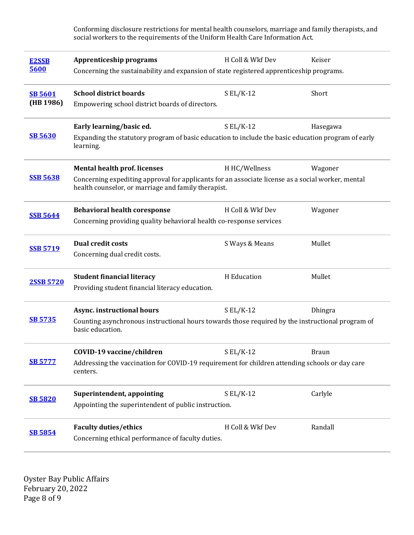Conforming disclosure restrictions for mental health counselors, marriage and family therapists, and social workers to the requirements of the Uniform Health Care Information Act.

| <b>E2SSB</b><br>5600        | Apprenticeship programs<br>Concerning the sustainability and expansion of state registered apprenticeship programs.                                                                             | H Coll & Wkf Dev | Keiser   |
|-----------------------------|-------------------------------------------------------------------------------------------------------------------------------------------------------------------------------------------------|------------------|----------|
| <b>SB 5601</b><br>(HB 1986) | <b>School district boards</b><br>Empowering school district boards of directors.                                                                                                                | $S EL/K-12$      | Short    |
| <b>SB 5630</b>              | Early learning/basic ed.<br>Expanding the statutory program of basic education to include the basic education program of early<br>learning.                                                     | $S EL/K-12$      | Hasegawa |
| <b>SSB 5638</b>             | <b>Mental health prof. licenses</b><br>Concerning expediting approval for applicants for an associate license as a social worker, mental<br>health counselor, or marriage and family therapist. | H HC/Wellness    | Wagoner  |
| <b>SSB 5644</b>             | <b>Behavioral health coresponse</b><br>H Coll & Wkf Dev<br>Wagoner<br>Concerning providing quality behavioral health co-response services                                                       |                  |          |
| <b>SSB 5719</b>             | <b>Dual credit costs</b><br>Concerning dual credit costs.                                                                                                                                       | S Ways & Means   | Mullet   |
| 2SSB 5720                   | <b>Student financial literacy</b><br>Providing student financial literacy education.                                                                                                            | H Education      | Mullet   |
| <b>SB 5735</b>              | Async. instructional hours<br>Counting asynchronous instructional hours towards those required by the instructional program of<br>basic education.                                              | $S EL/K-12$      | Dhingra  |
| <b>SB 5777</b>              | COVID-19 vaccine/children<br>Addressing the vaccination for COVID-19 requirement for children attending schools or day care<br>centers.                                                         | $S EL/K-12$      | Braun    |
| <b>SB 5820</b>              | Superintendent, appointing<br>Appointing the superintendent of public instruction.                                                                                                              | $S EL/K-12$      | Carlyle  |
| <b>SB 5854</b>              | <b>Faculty duties/ethics</b><br>Concerning ethical performance of faculty duties.                                                                                                               | H Coll & Wkf Dev | Randall  |